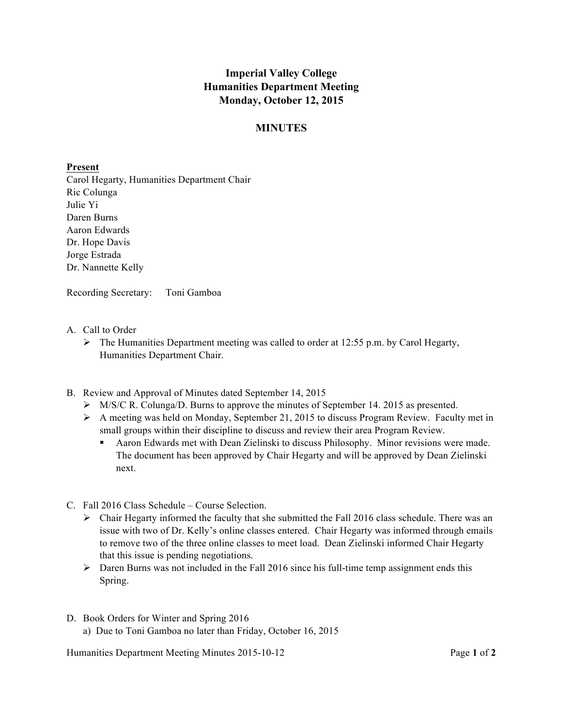## **Imperial Valley College Humanities Department Meeting Monday, October 12, 2015**

## **MINUTES**

## **Present**

Carol Hegarty, Humanities Department Chair Ric Colunga Julie Yi Daren Burns Aaron Edwards Dr. Hope Davis Jorge Estrada Dr. Nannette Kelly

Recording Secretary: Toni Gamboa

- A. Call to Order
	- $\triangleright$  The Humanities Department meeting was called to order at 12:55 p.m. by Carol Hegarty, Humanities Department Chair.
- B. Review and Approval of Minutes dated September 14, 2015
	- Ø M/S/C R. Colunga/D. Burns to approve the minutes of September 14. 2015 as presented.
	- $\triangleright$  A meeting was held on Monday, September 21, 2015 to discuss Program Review. Faculty met in small groups within their discipline to discuss and review their area Program Review.
		- Aaron Edwards met with Dean Zielinski to discuss Philosophy. Minor revisions were made. The document has been approved by Chair Hegarty and will be approved by Dean Zielinski next.
- C. Fall 2016 Class Schedule Course Selection.
	- $\triangleright$  Chair Hegarty informed the faculty that she submitted the Fall 2016 class schedule. There was an issue with two of Dr. Kelly's online classes entered. Chair Hegarty was informed through emails to remove two of the three online classes to meet load. Dean Zielinski informed Chair Hegarty that this issue is pending negotiations.
	- Ø Daren Burns was not included in the Fall 2016 since his full-time temp assignment ends this Spring.
- D. Book Orders for Winter and Spring 2016 a) Due to Toni Gamboa no later than Friday, October 16, 2015

Humanities Department Meeting Minutes 2015-10-12 Page **1** of **2**